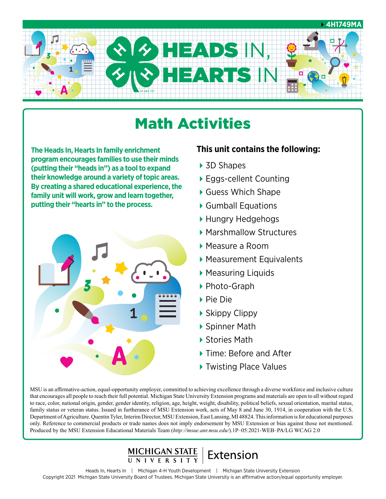

# Math Activities

**The Heads In, Hearts In family enrichment program encourages families to use their minds (putting their "heads in") as a tool to expand their knowledge around a variety of topic areas. By creating a shared educational experience, the family unit will work, grow and learn together, putting their "hearts in" to the process.**



### **This unit contains the following:**

- ▶ 3D Shapes
- ▶ Eggs-cellent Counting
- ▶ Guess Which Shape
- ▶ Gumball Equations
- ▶ Hungry Hedgehogs
- ▶ Marshmallow Structures
- Measure a Room
- Measurement Equivalents
- Measuring Liquids
- ▶ Photo-Graph
- Pie Die
- ▶ Skippy Clippy
- ▶ Spinner Math
- ▶ Stories Math
- ▶ Time: Before and After
- ▶ Twisting Place Values

MSU is an affirmative-action, equal-opportunity employer, committed to achieving excellence through a diverse workforce and inclusive culture that encourages all people to reach their full potential. Michigan State University Extension programs and materials are open to all without regard to race, color, national origin, gender, gender identity, religion, age, height, weight, disability, political beliefs, sexual orientation, marital status, family status or veteran status. Issued in furtherance of MSU Extension work, acts of May 8 and June 30, 1914, in cooperation with the U.S. Department of Agriculture. Quentin Tyler, Interim Director, MSU Extension, East Lansing, MI 48824. This information is for educational purposes only. Reference to commercial products or trade names does not imply endorsement by MSU Extension or bias against those not mentioned. Produced by the MSU Extension Educational Materials Team (*[http://msue.anr.msu.edu/](http://msue.anr.msu.edu)*).1P–05:2021-WEB–PA/LG WCAG 2.0

# MICHIGAN STATE | Extension

Heads In, Hearts In | Michigan 4-H Youth Development | Michigan State University Extension Copyright 2021 Michigan State University Board of Trustees. Michigan State University is an affirmative action/equal opportunity employer.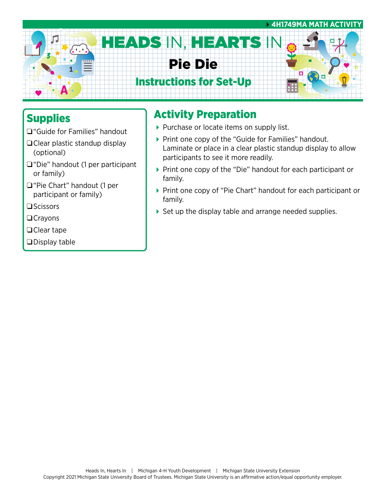

## Supplies

- □ "Guide for Families" handout
- $\Box$ Clear plastic standup display (optional)
- $\Box$ "Die" handout (1 per participant or family)
- □ "Pie Chart" handout (1 per participant or family)
- $\square$ Scissors
- $\Box$ Crayons
- $\Box$ Clear tape
- $\square$ Display table

## Activity Preparation

- Purchase or locate items on supply list.
- ▶ Print one copy of the "Guide for Families" handout. Laminate or place in a clear plastic standup display to allow participants to see it more readily.
- ▶ Print one copy of the "Die" handout for each participant or family.
- ▶ Print one copy of "Pie Chart" handout for each participant or family.
- ▶ Set up the display table and arrange needed supplies.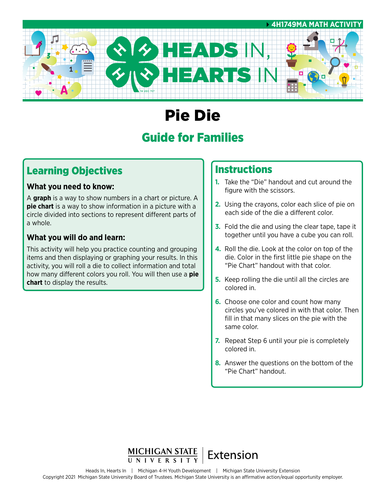

# Pie Die

## Guide for Families

## Learning Objectives

#### **What you need to know:**

A **graph** is a way to show numbers in a chart or picture. A **pie chart** is a way to show information in a picture with a circle divided into sections to represent different parts of a whole.

### **What you will do and learn:**

This activity will help you practice counting and grouping items and then displaying or graphing your results. In this activity, you will roll a die to collect information and total how many different colors you roll. You will then use a **pie chart** to display the results.

### **Instructions**

- **1.** Take the "Die" handout and cut around the figure with the scissors.
- **2.** Using the crayons, color each slice of pie on each side of the die a different color.
- **3.** Fold the die and using the clear tape, tape it together until you have a cube you can roll.
- **4.** Roll the die. Look at the color on top of the die. Color in the first little pie shape on the "Pie Chart" handout with that color.
- **5.** Keep rolling the die until all the circles are colored in.
- **6.** Choose one color and count how many circles you've colored in with that color. Then fill in that many slices on the pie with the same color.
- **7.** Repeat Step 6 until your pie is completely colored in.
- **8.** Answer the questions on the bottom of the "Pie Chart" handout.

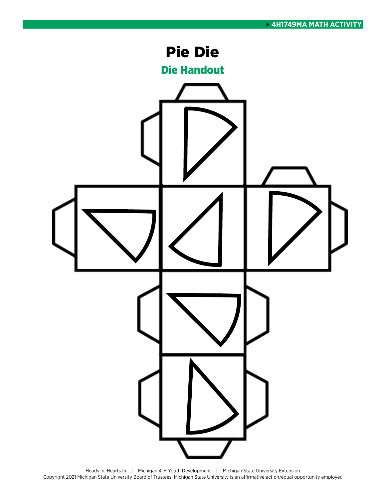